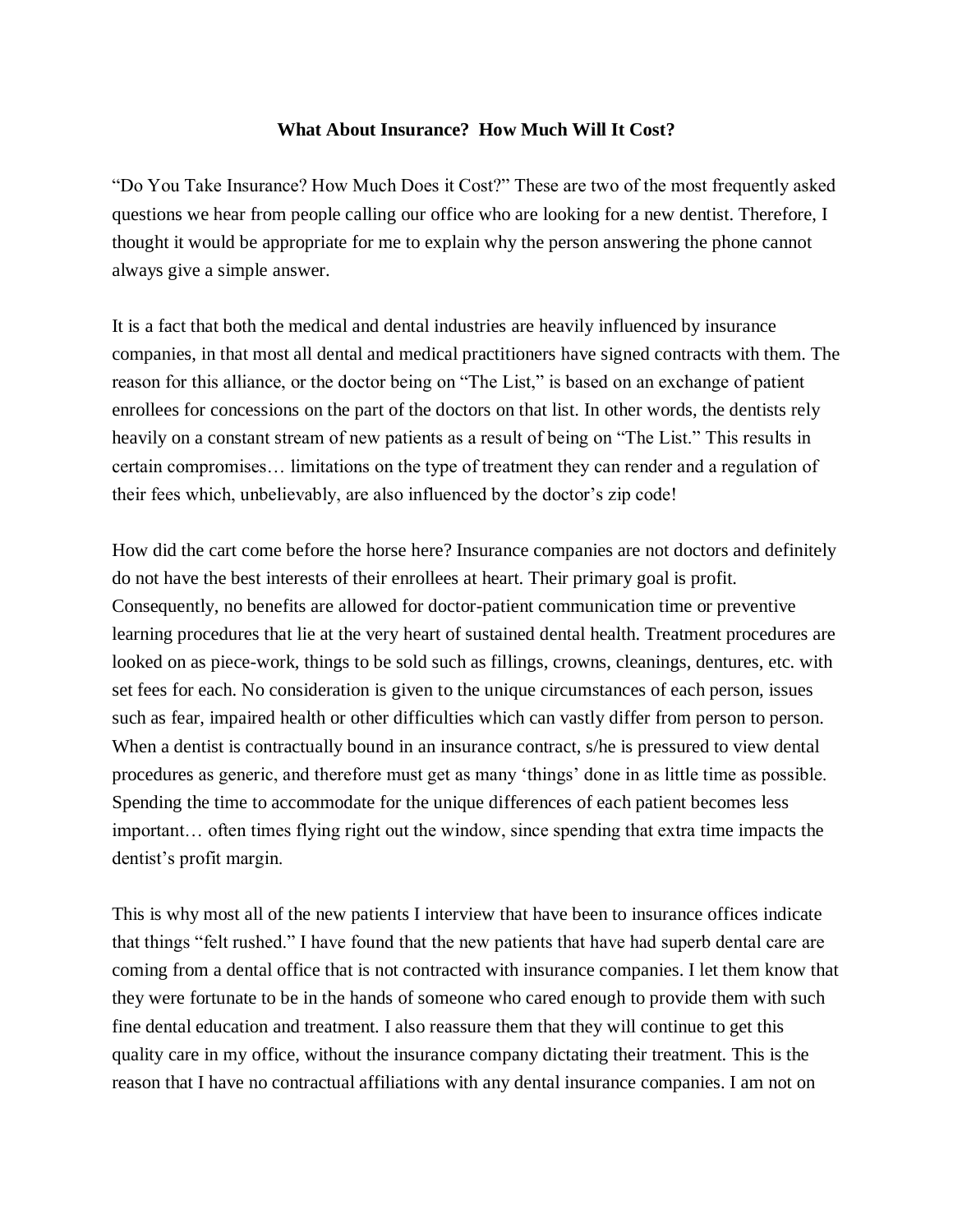## **What About Insurance? How Much Will It Cost?**

"Do You Take Insurance? How Much Does it Cost?" These are two of the most frequently asked questions we hear from people calling our office who are looking for a new dentist. Therefore, I thought it would be appropriate for me to explain why the person answering the phone cannot always give a simple answer.

It is a fact that both the medical and dental industries are heavily influenced by insurance companies, in that most all dental and medical practitioners have signed contracts with them. The reason for this alliance, or the doctor being on "The List," is based on an exchange of patient enrollees for concessions on the part of the doctors on that list. In other words, the dentists rely heavily on a constant stream of new patients as a result of being on "The List." This results in certain compromises… limitations on the type of treatment they can render and a regulation of their fees which, unbelievably, are also influenced by the doctor's zip code!

How did the cart come before the horse here? Insurance companies are not doctors and definitely do not have the best interests of their enrollees at heart. Their primary goal is profit. Consequently, no benefits are allowed for doctor-patient communication time or preventive learning procedures that lie at the very heart of sustained dental health. Treatment procedures are looked on as piece-work, things to be sold such as fillings, crowns, cleanings, dentures, etc. with set fees for each. No consideration is given to the unique circumstances of each person, issues such as fear, impaired health or other difficulties which can vastly differ from person to person. When a dentist is contractually bound in an insurance contract, s/he is pressured to view dental procedures as generic, and therefore must get as many 'things' done in as little time as possible. Spending the time to accommodate for the unique differences of each patient becomes less important… often times flying right out the window, since spending that extra time impacts the dentist's profit margin.

This is why most all of the new patients I interview that have been to insurance offices indicate that things "felt rushed." I have found that the new patients that have had superb dental care are coming from a dental office that is not contracted with insurance companies. I let them know that they were fortunate to be in the hands of someone who cared enough to provide them with such fine dental education and treatment. I also reassure them that they will continue to get this quality care in my office, without the insurance company dictating their treatment. This is the reason that I have no contractual affiliations with any dental insurance companies. I am not on